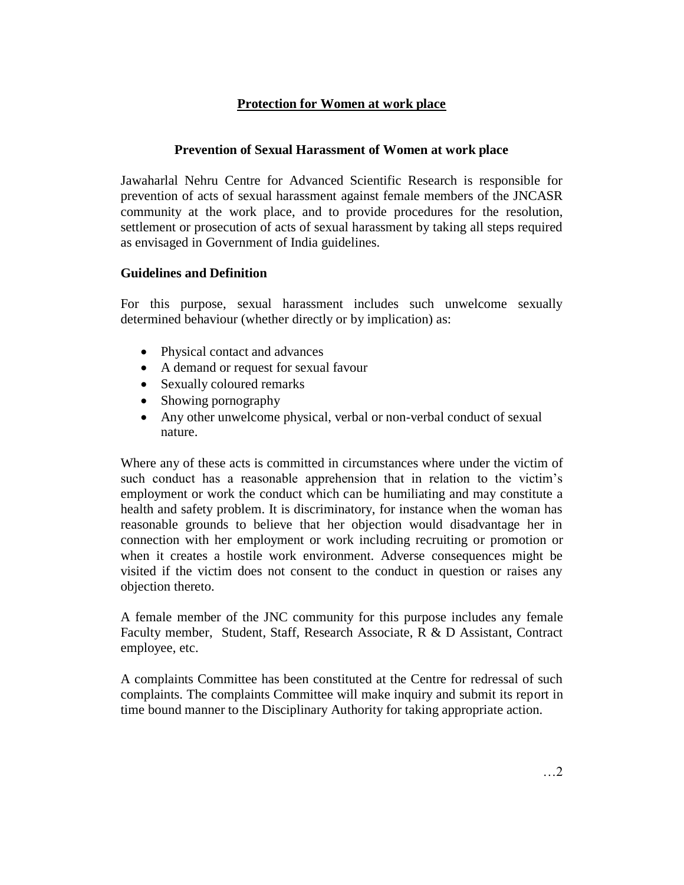## **Protection for Women at work place**

## **Prevention of Sexual Harassment of Women at work place**

Jawaharlal Nehru Centre for Advanced Scientific Research is responsible for prevention of acts of sexual harassment against female members of the JNCASR community at the work place, and to provide procedures for the resolution, settlement or prosecution of acts of sexual harassment by taking all steps required as envisaged in Government of India guidelines.

## **Guidelines and Definition**

For this purpose, sexual harassment includes such unwelcome sexually determined behaviour (whether directly or by implication) as:

- Physical contact and advances
- A demand or request for sexual favour
- Sexually coloured remarks
- Showing pornography
- Any other unwelcome physical, verbal or non-verbal conduct of sexual nature.

Where any of these acts is committed in circumstances where under the victim of such conduct has a reasonable apprehension that in relation to the victim's employment or work the conduct which can be humiliating and may constitute a health and safety problem. It is discriminatory, for instance when the woman has reasonable grounds to believe that her objection would disadvantage her in connection with her employment or work including recruiting or promotion or when it creates a hostile work environment. Adverse consequences might be visited if the victim does not consent to the conduct in question or raises any objection thereto.

A female member of the JNC community for this purpose includes any female Faculty member, Student, Staff, Research Associate, R & D Assistant, Contract employee, etc.

A complaints Committee has been constituted at the Centre for redressal of such complaints. The complaints Committee will make inquiry and submit its report in time bound manner to the Disciplinary Authority for taking appropriate action.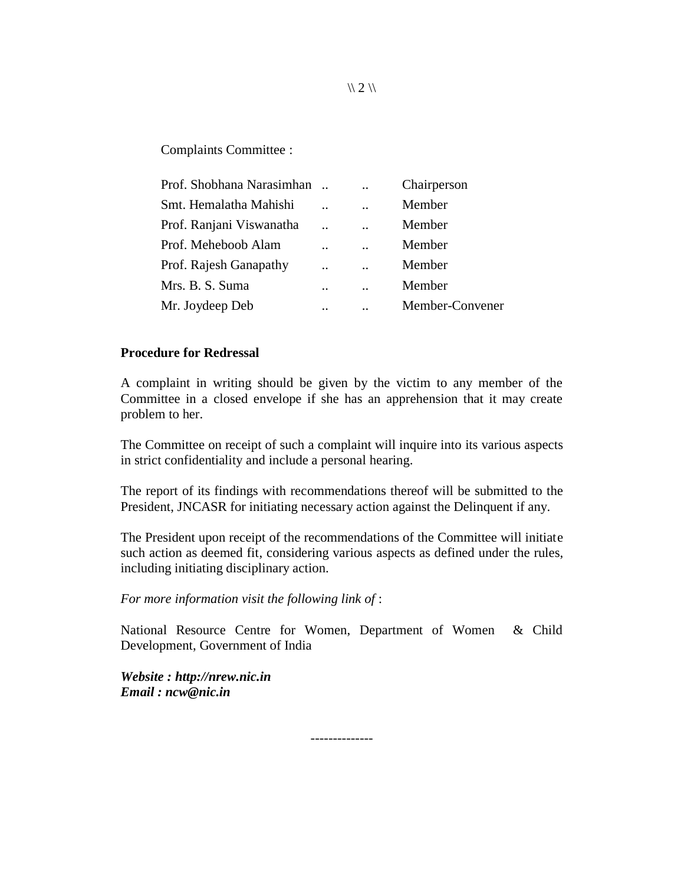Complaints Committee :

| Prof. Shobhana Narasimhan |           | $\ddot{\phantom{0}}$ | Chairperson     |
|---------------------------|-----------|----------------------|-----------------|
| Smt. Hemalatha Mahishi    |           |                      | Member          |
| Prof. Ranjani Viswanatha  |           | $\ddot{\phantom{0}}$ | Member          |
| Prof. Meheboob Alam       |           |                      | Member          |
| Prof. Rajesh Ganapathy    | $\cdot$ . | $\ddot{\phantom{0}}$ | Member          |
| Mrs. B. S. Suma           |           |                      | Member          |
| Mr. Joydeep Deb           |           |                      | Member-Convener |

#### **Procedure for Redressal**

A complaint in writing should be given by the victim to any member of the Committee in a closed envelope if she has an apprehension that it may create problem to her.

The Committee on receipt of such a complaint will inquire into its various aspects in strict confidentiality and include a personal hearing.

The report of its findings with recommendations thereof will be submitted to the President, JNCASR for initiating necessary action against the Delinquent if any.

The President upon receipt of the recommendations of the Committee will initiate such action as deemed fit, considering various aspects as defined under the rules, including initiating disciplinary action.

*For more information visit the following link of* :

National Resource Centre for Women, Department of Women & Child Development, Government of India

--------------

*Website : [http://nrew.nic.in](http://nrew.nic.in/)  Email : ncw@nic.in* 

 $\binom{1}{2}$